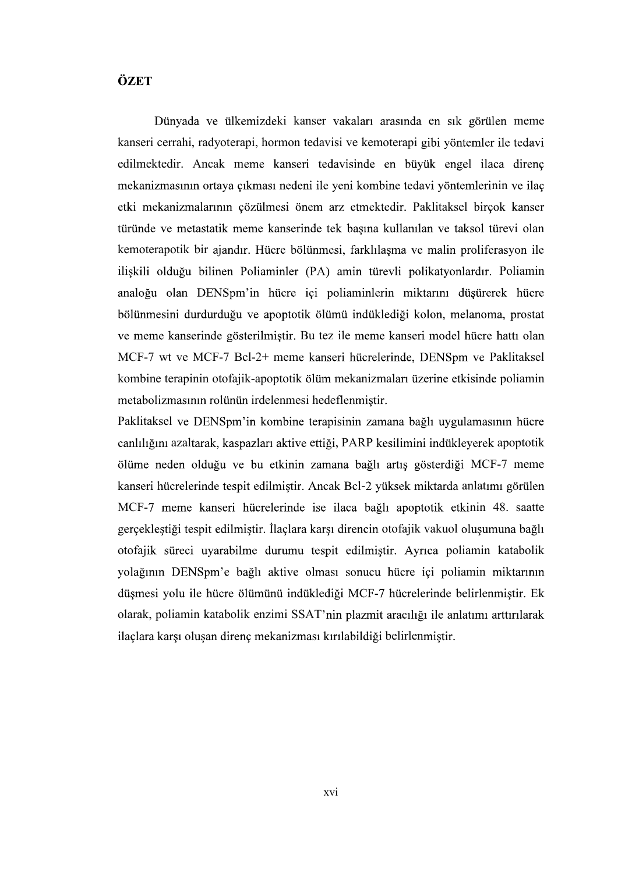## ÖZET

Dünyada ve ülkemizdeki kanser vakaları arasında en sık görülen meme kanseri cerrahi, radyoterapi, hormon tedavisi ve kemoterapi edilmektedir. Ancak meme kanseri tedavisinde en büyük engel ilaca direnç mekanizmasının ortaya çıkması nedeni ile yeni kombine tedavi yöntemlerinin ve ilaç etki mekanizmalarının çözülmesi önem arz etmektedir. Paklitaksel birçok kanser türünde ve metastatik meme kanserinde tek basına kullanılan ve taksol türevi olan kemoterapotik bir ajandır. Hücre bölünmesi, farklılaşma ve malin proliferasyon ile ilişkili olduğu bilinen Poliaminler (PA) amin türevli polikatyonlardır. Poliamin analoğu olan DENSpm'in hücre içi poliaminlerin miktarını düşürerek hücre bölünmesini durdurduğu ve apoptotik ölümü indüklediği kolon, melanoma, prostat ve meme kanserinde gösterilmiştir. Bu tez ile meme kanseri model hücre hattı olan MCF-7 wt ve MCF-7 Bcl-2+ meme kanseri hücrelerinde, DENSpm ve Paklitaksel kombine terapinin otofajik-apoptotik ölüm mekanizmaları üzerine etkisinde poliamin metabolizmasının rolünün irdelenmesi hedeflenmistir.

Paklitaksel ve DENSpm'in kombine terapisinin zamana bağlı uygulamasının hücre canlılığını azaltarak, kaspazları aktive ettiği, PARP kesilimini indükleyerek apoptotik ölüme neden olduğu ve bu etkinin zamana bağlı artış gösterdiği MCF-7 meme kanseri hücrelerinde tespit edilmiştir. Ancak Bcl-2 yüksek miktarda anlatımı görülen MCF-7 meme kanseri hücrelerinde ise ilaca bağlı apoptotik etkinin 48. saatte gerçekleştiği tespit edilmiştir. İlaçlara karşı direncin otofajik vakuol oluşumuna bağlı otofajik süreci uyarabilme durumu tespit edilmistir. Ayrıca poliamin katabolik yolağının DENSpm'e bağlı aktive olması sonucu hücre içi poliamin miktarının<br>düşmesi yolu ile hücre ölümünü indüklediği MCF-7 hücrelerinde belirlenmiştir. Ek olarak, poliamin katabolik enzimi SSAT'nin plazmit aracılığı ile anlatımı arttırılarak ilaçlara karşı oluşan direnç mekanizması kırılabildiği belirlenmiştir.